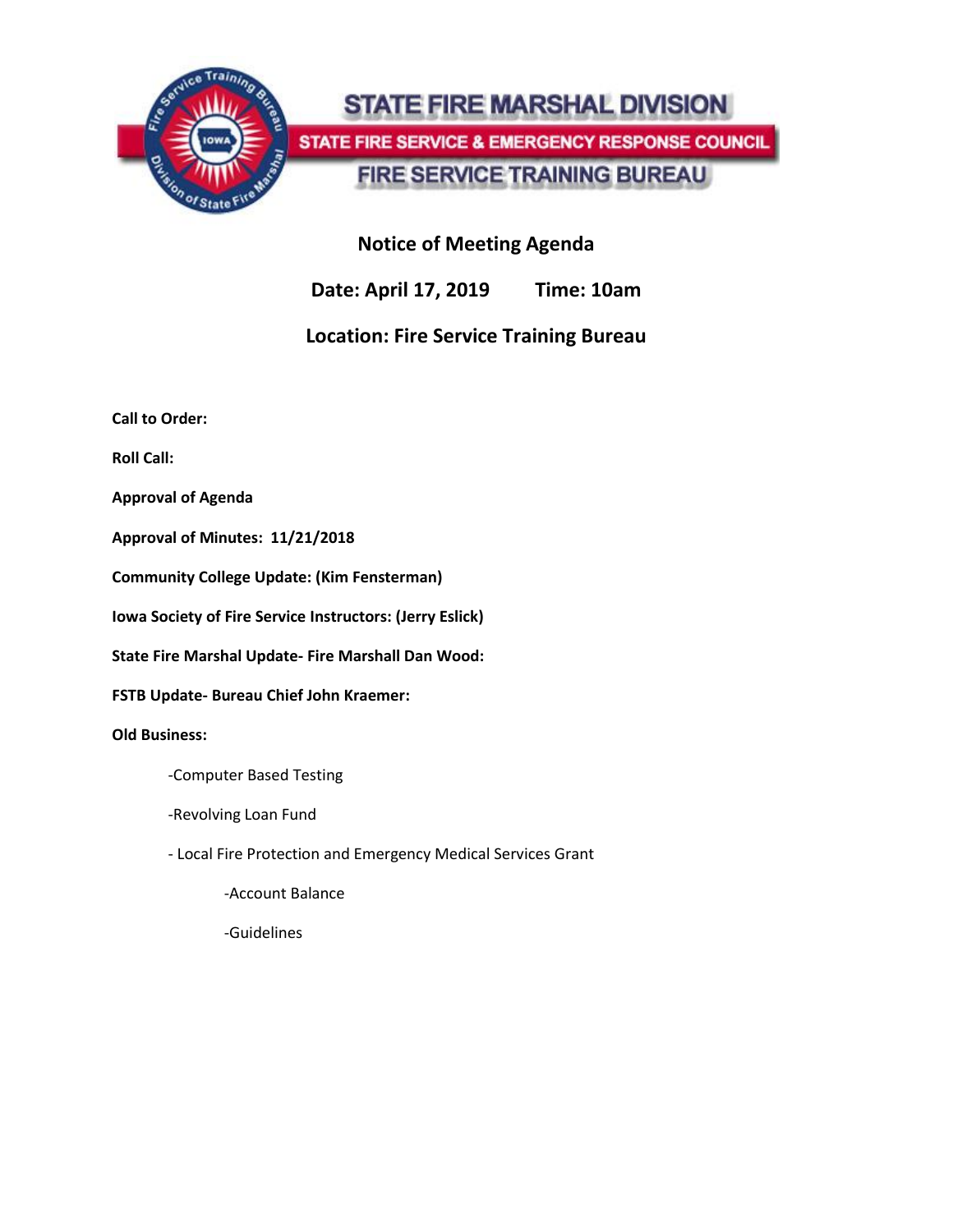

# **STATE FIRE MARSHAL DIVISION** STATE FIRE SERVICE & EMERGENCY RESPONSE COUNCIL **FIRE SERVICE TRAINING BUREAU**

# **Notice of Meeting Agenda**

**Date: April 17, 2019 Time: 10am**

# **Location: Fire Service Training Bureau**

**Call to Order:**

**Roll Call:**

**Approval of Agenda**

**Approval of Minutes: 11/21/2018**

**Community College Update: (Kim Fensterman)**

**Iowa Society of Fire Service Instructors: (Jerry Eslick)**

**State Fire Marshal Update- Fire Marshall Dan Wood:** 

**FSTB Update- Bureau Chief John Kraemer:**

#### **Old Business:**

- -Computer Based Testing
- -Revolving Loan Fund
- Local Fire Protection and Emergency Medical Services Grant

-Account Balance

-Guidelines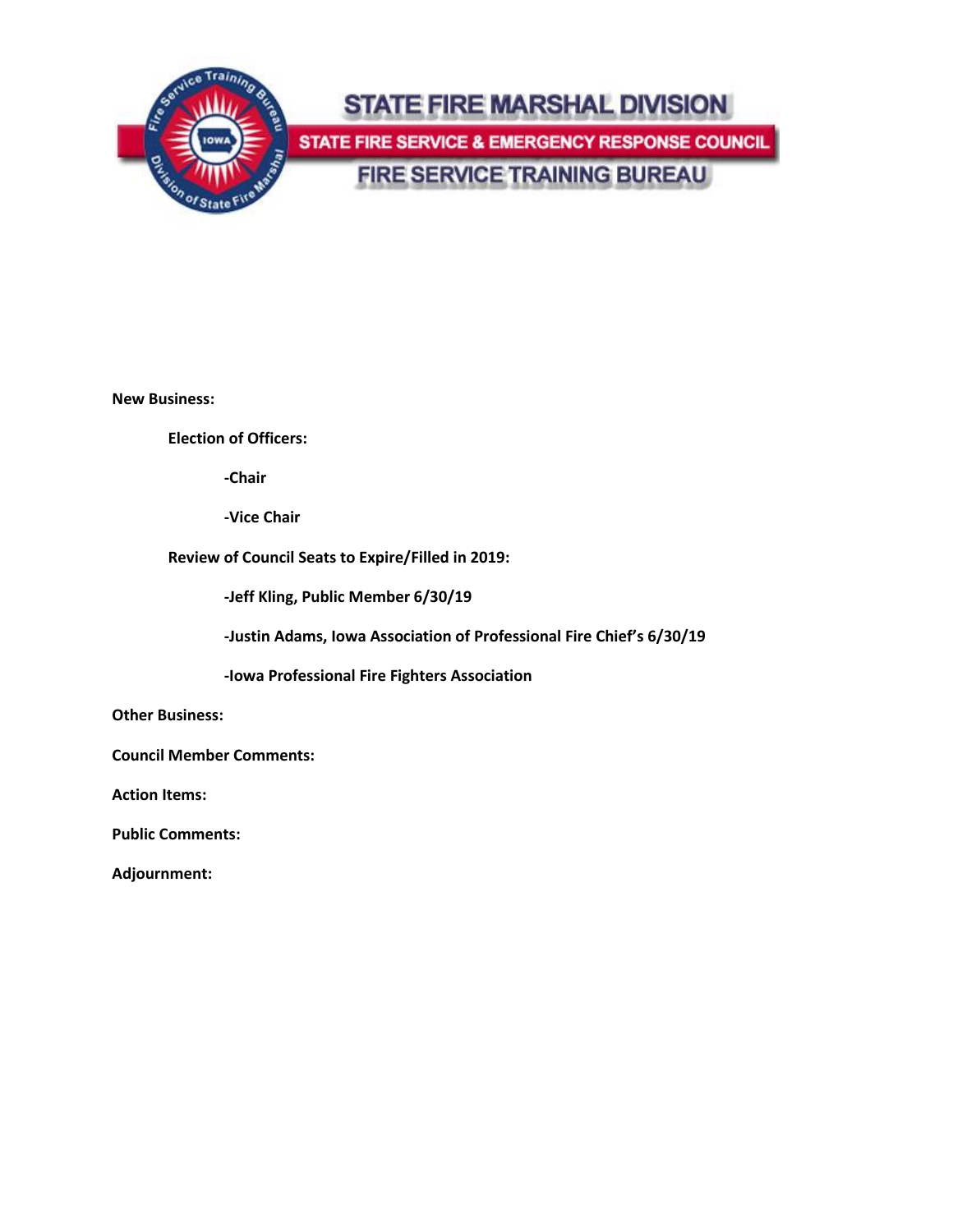

**New Business:**

**Election of Officers:**

**-Chair**

**-Vice Chair**

**Review of Council Seats to Expire/Filled in 2019:**

**-Jeff Kling, Public Member 6/30/19**

**-Justin Adams, Iowa Association of Professional Fire Chief's 6/30/19**

**-Iowa Professional Fire Fighters Association**

**Other Business:**

**Council Member Comments:**

**Action Items:**

**Public Comments:**

**Adjournment:**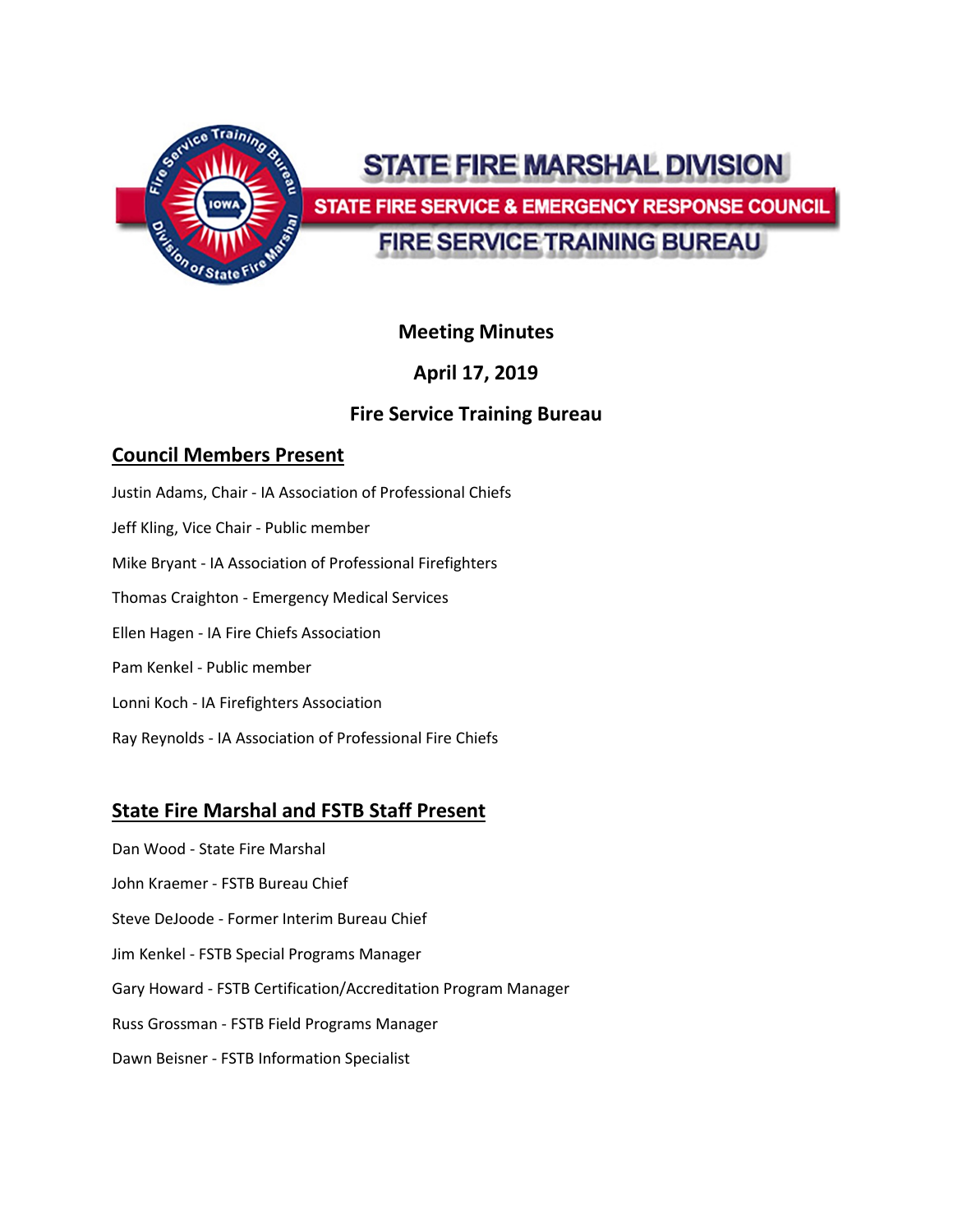

# STATE FIRE MARSHAL DIVISION

**STATE FIRE SERVICE & EMERGENCY RESPONSE COUNCIL** 

# **FIRE SERVICE TRAINING BUREAU**

# **Meeting Minutes**

# **April 17, 2019**

# **Fire Service Training Bureau**

# **Council Members Present**

- Justin Adams, Chair IA Association of Professional Chiefs
- Jeff Kling, Vice Chair Public member
- Mike Bryant IA Association of Professional Firefighters
- Thomas Craighton Emergency Medical Services
- Ellen Hagen IA Fire Chiefs Association
- Pam Kenkel Public member
- Lonni Koch IA Firefighters Association
- Ray Reynolds IA Association of Professional Fire Chiefs

# **State Fire Marshal and FSTB Staff Present**

- Dan Wood State Fire Marshal
- John Kraemer FSTB Bureau Chief
- Steve DeJoode Former Interim Bureau Chief
- Jim Kenkel FSTB Special Programs Manager
- Gary Howard FSTB Certification/Accreditation Program Manager
- Russ Grossman FSTB Field Programs Manager
- Dawn Beisner FSTB Information Specialist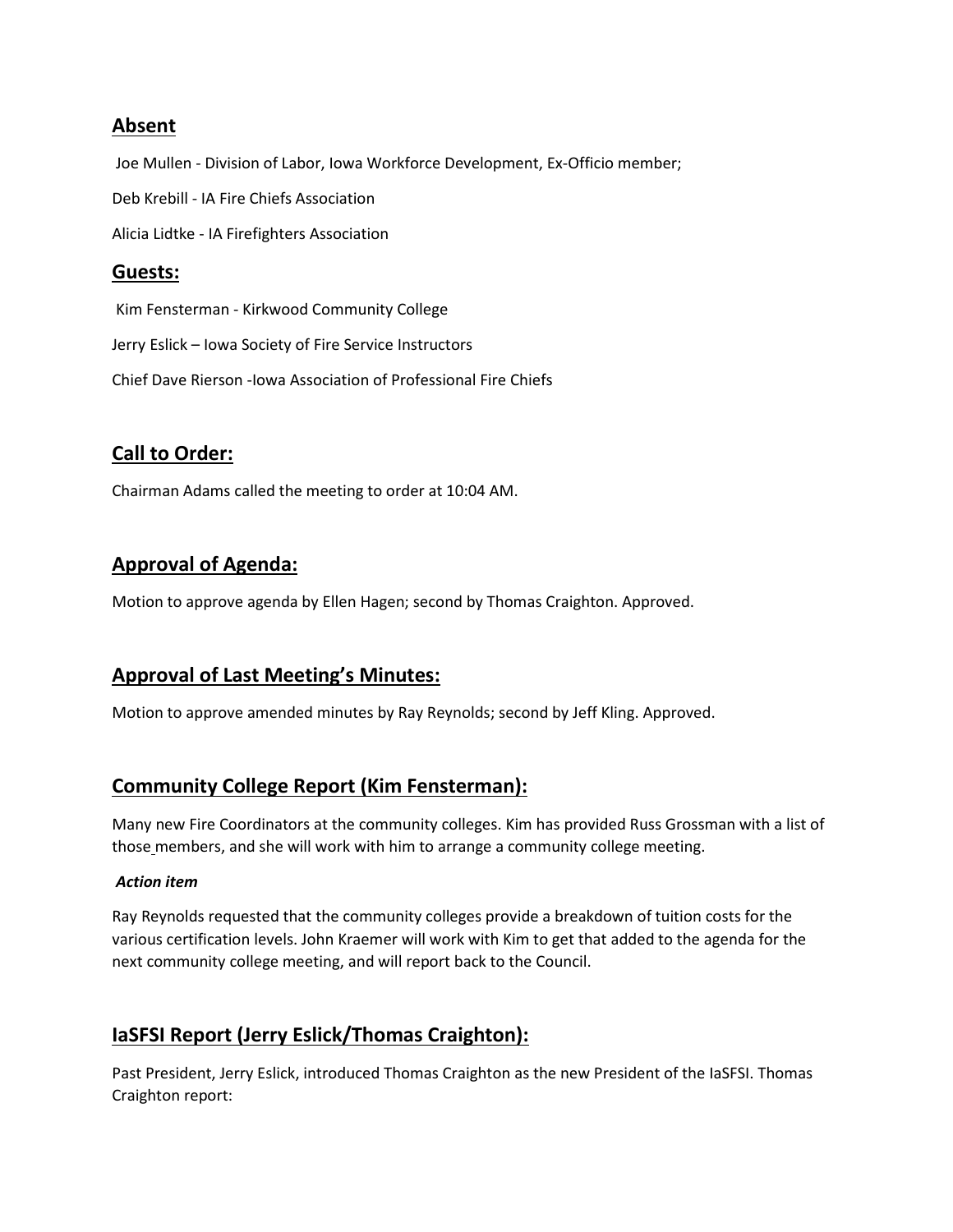### **Absent**

Joe Mullen - Division of Labor, Iowa Workforce Development, Ex-Officio member; Deb Krebill - IA Fire Chiefs Association Alicia Lidtke - IA Firefighters Association

### **Guests:**

Kim Fensterman - Kirkwood Community College

Jerry Eslick – Iowa Society of Fire Service Instructors

Chief Dave Rierson -Iowa Association of Professional Fire Chiefs

### **Call to Order:**

Chairman Adams called the meeting to order at 10:04 AM.

# **Approval of Agenda:**

Motion to approve agenda by Ellen Hagen; second by Thomas Craighton. Approved.

### **Approval of Last Meeting's Minutes:**

Motion to approve amended minutes by Ray Reynolds; second by Jeff Kling. Approved.

### **Community College Report (Kim Fensterman):**

Many new Fire Coordinators at the community colleges. Kim has provided Russ Grossman with a list of those members, and she will work with him to arrange a community college meeting.

#### *Action item*

Ray Reynolds requested that the community colleges provide a breakdown of tuition costs for the various certification levels. John Kraemer will work with Kim to get that added to the agenda for the next community college meeting, and will report back to the Council.

### **IaSFSI Report (Jerry Eslick/Thomas Craighton):**

Past President, Jerry Eslick, introduced Thomas Craighton as the new President of the IaSFSI. Thomas Craighton report: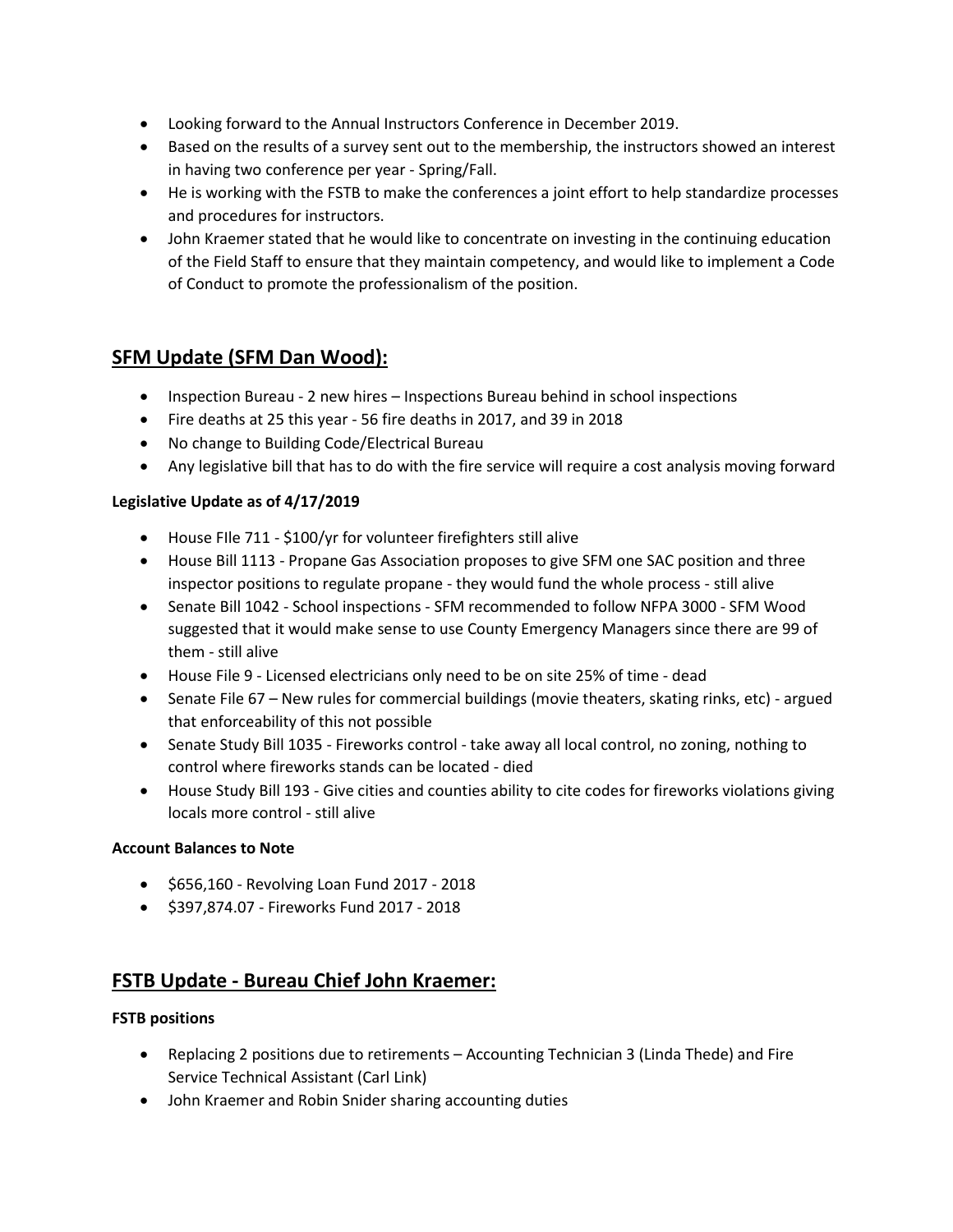- Looking forward to the Annual Instructors Conference in December 2019.
- Based on the results of a survey sent out to the membership, the instructors showed an interest in having two conference per year - Spring/Fall.
- He is working with the FSTB to make the conferences a joint effort to help standardize processes and procedures for instructors.
- John Kraemer stated that he would like to concentrate on investing in the continuing education of the Field Staff to ensure that they maintain competency, and would like to implement a Code of Conduct to promote the professionalism of the position.

# **SFM Update (SFM Dan Wood):**

- Inspection Bureau 2 new hires Inspections Bureau behind in school inspections
- Fire deaths at 25 this year 56 fire deaths in 2017, and 39 in 2018
- No change to Building Code/Electrical Bureau
- Any legislative bill that has to do with the fire service will require a cost analysis moving forward

#### **Legislative Update as of 4/17/2019**

- House FIle 711 \$100/yr for volunteer firefighters still alive
- House Bill 1113 Propane Gas Association proposes to give SFM one SAC position and three inspector positions to regulate propane - they would fund the whole process - still alive
- Senate Bill 1042 School inspections SFM recommended to follow NFPA 3000 SFM Wood suggested that it would make sense to use County Emergency Managers since there are 99 of them - still alive
- House File 9 Licensed electricians only need to be on site 25% of time dead
- Senate File 67 New rules for commercial buildings (movie theaters, skating rinks, etc) argued that enforceability of this not possible
- Senate Study Bill 1035 Fireworks control take away all local control, no zoning, nothing to control where fireworks stands can be located - died
- House Study Bill 193 Give cities and counties ability to cite codes for fireworks violations giving locals more control - still alive

#### **Account Balances to Note**

- \$656,160 Revolving Loan Fund 2017 2018
- \$397,874.07 Fireworks Fund 2017 2018

### **FSTB Update - Bureau Chief John Kraemer:**

#### **FSTB positions**

- Replacing 2 positions due to retirements Accounting Technician 3 (Linda Thede) and Fire Service Technical Assistant (Carl Link)
- John Kraemer and Robin Snider sharing accounting duties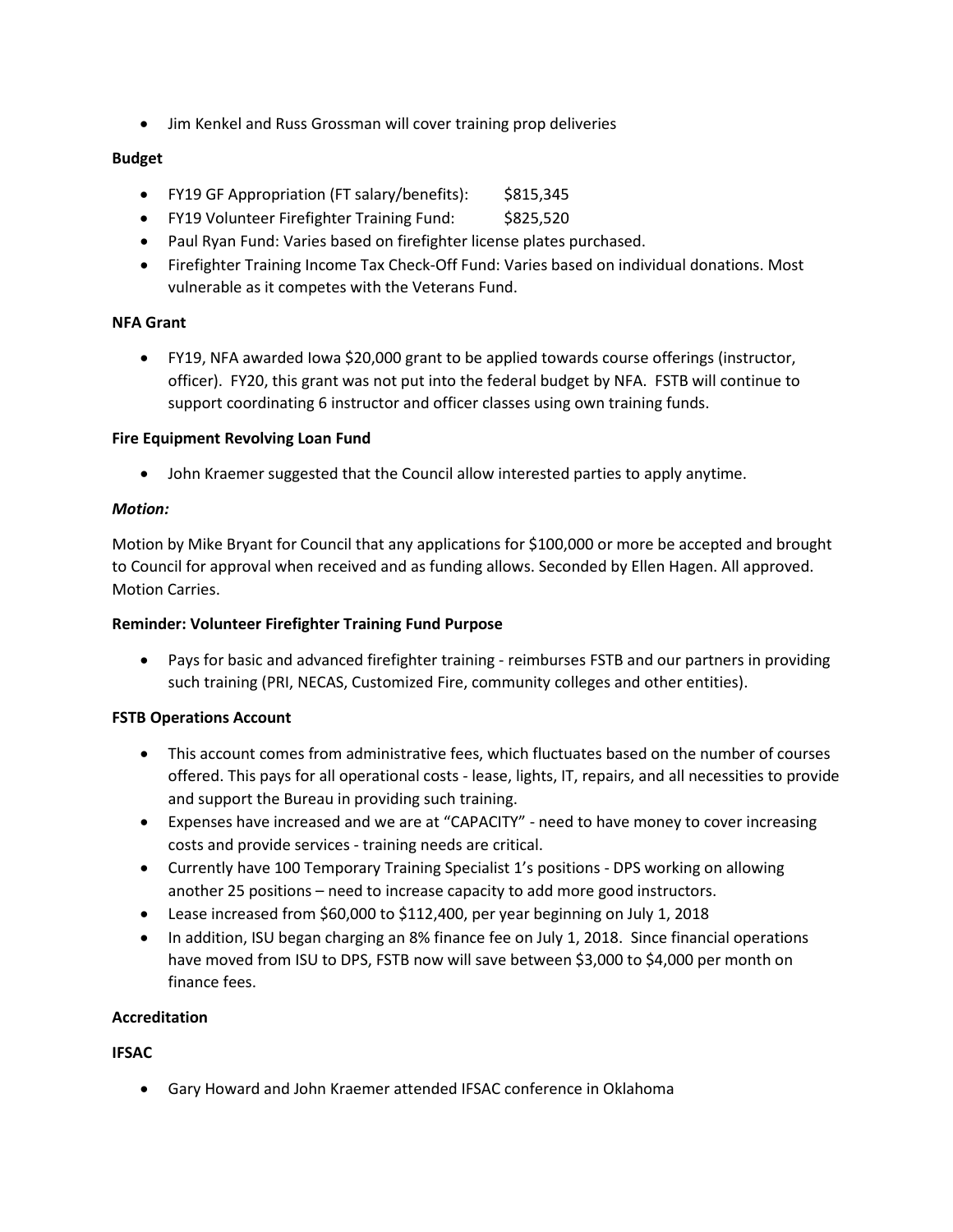• Jim Kenkel and Russ Grossman will cover training prop deliveries

#### **Budget**

- FY19 GF Appropriation (FT salary/benefits): \$815,345
- FY19 Volunteer Firefighter Training Fund: \$825,520
- Paul Ryan Fund: Varies based on firefighter license plates purchased.
- Firefighter Training Income Tax Check-Off Fund: Varies based on individual donations. Most vulnerable as it competes with the Veterans Fund.

#### **NFA Grant**

• FY19, NFA awarded Iowa \$20,000 grant to be applied towards course offerings (instructor, officer). FY20, this grant was not put into the federal budget by NFA. FSTB will continue to support coordinating 6 instructor and officer classes using own training funds.

#### **Fire Equipment Revolving Loan Fund**

• John Kraemer suggested that the Council allow interested parties to apply anytime.

#### *Motion:*

Motion by Mike Bryant for Council that any applications for \$100,000 or more be accepted and brought to Council for approval when received and as funding allows. Seconded by Ellen Hagen. All approved. Motion Carries.

#### **Reminder: Volunteer Firefighter Training Fund Purpose**

• Pays for basic and advanced firefighter training - reimburses FSTB and our partners in providing such training (PRI, NECAS, Customized Fire, community colleges and other entities).

#### **FSTB Operations Account**

- This account comes from administrative fees, which fluctuates based on the number of courses offered. This pays for all operational costs - lease, lights, IT, repairs, and all necessities to provide and support the Bureau in providing such training.
- Expenses have increased and we are at "CAPACITY" need to have money to cover increasing costs and provide services - training needs are critical.
- Currently have 100 Temporary Training Specialist 1's positions DPS working on allowing another 25 positions – need to increase capacity to add more good instructors.
- Lease increased from \$60,000 to \$112,400, per year beginning on July 1, 2018
- In addition, ISU began charging an 8% finance fee on July 1, 2018. Since financial operations have moved from ISU to DPS, FSTB now will save between \$3,000 to \$4,000 per month on finance fees.

#### **Accreditation**

**IFSAC**

• Gary Howard and John Kraemer attended IFSAC conference in Oklahoma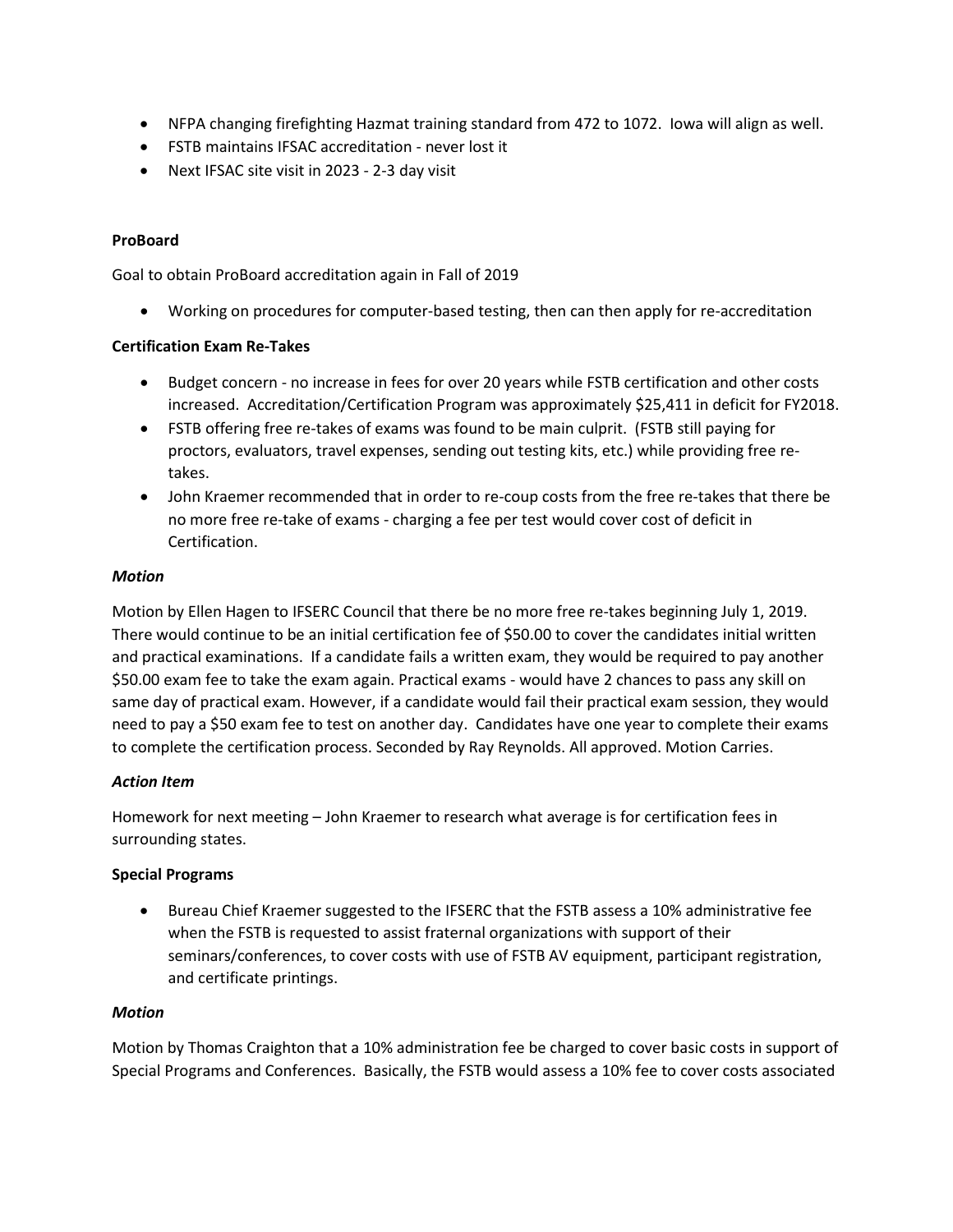- NFPA changing firefighting Hazmat training standard from 472 to 1072. Iowa will align as well.
- FSTB maintains IFSAC accreditation never lost it
- Next IFSAC site visit in 2023 2-3 day visit

#### **ProBoard**

Goal to obtain ProBoard accreditation again in Fall of 2019

• Working on procedures for computer-based testing, then can then apply for re-accreditation

#### **Certification Exam Re-Takes**

- Budget concern no increase in fees for over 20 years while FSTB certification and other costs increased. Accreditation/Certification Program was approximately \$25,411 in deficit for FY2018.
- FSTB offering free re-takes of exams was found to be main culprit. (FSTB still paying for proctors, evaluators, travel expenses, sending out testing kits, etc.) while providing free retakes.
- John Kraemer recommended that in order to re-coup costs from the free re-takes that there be no more free re-take of exams - charging a fee per test would cover cost of deficit in Certification.

#### *Motion*

Motion by Ellen Hagen to IFSERC Council that there be no more free re-takes beginning July 1, 2019. There would continue to be an initial certification fee of \$50.00 to cover the candidates initial written and practical examinations. If a candidate fails a written exam, they would be required to pay another \$50.00 exam fee to take the exam again. Practical exams - would have 2 chances to pass any skill on same day of practical exam. However, if a candidate would fail their practical exam session, they would need to pay a \$50 exam fee to test on another day. Candidates have one year to complete their exams to complete the certification process. Seconded by Ray Reynolds. All approved. Motion Carries.

#### *Action Item*

Homework for next meeting – John Kraemer to research what average is for certification fees in surrounding states.

#### **Special Programs**

• Bureau Chief Kraemer suggested to the IFSERC that the FSTB assess a 10% administrative fee when the FSTB is requested to assist fraternal organizations with support of their seminars/conferences, to cover costs with use of FSTB AV equipment, participant registration, and certificate printings.

#### *Motion*

Motion by Thomas Craighton that a 10% administration fee be charged to cover basic costs in support of Special Programs and Conferences. Basically, the FSTB would assess a 10% fee to cover costs associated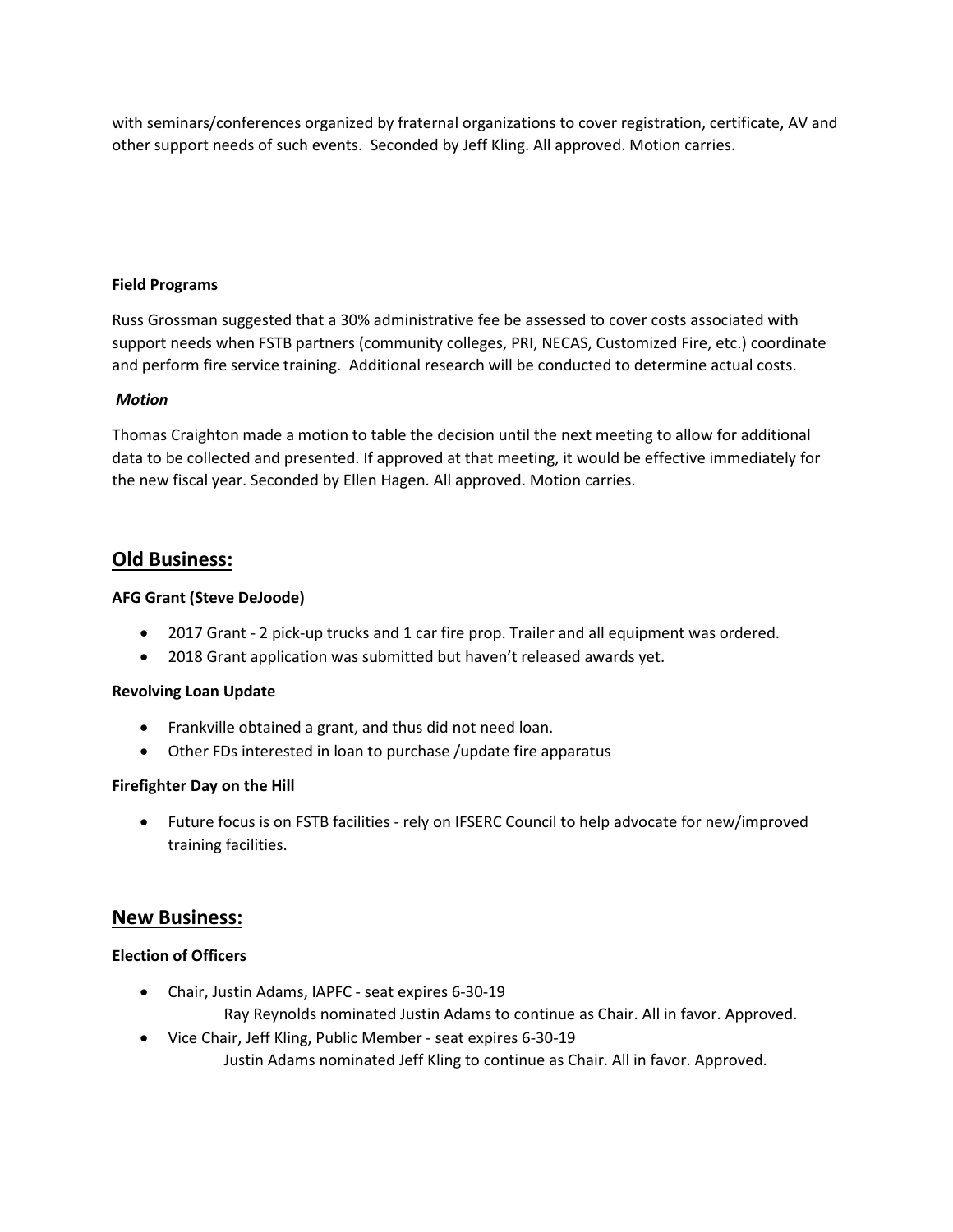with seminars/conferences organized by fraternal organizations to cover registration, certificate, AV and other support needs of such events. Seconded by Jeff Kling. All approved. Motion carries.

#### **Field Programs**

Russ Grossman suggested that a 30% administrative fee be assessed to cover costs associated with support needs when FSTB partners (community colleges, PRI, NECAS, Customized Fire, etc.) coordinate and perform fire service training. Additional research will be conducted to determine actual costs.

#### *Motion*

Thomas Craighton made a motion to table the decision until the next meeting to allow for additional data to be collected and presented. If approved at that meeting, it would be effective immediately for the new fiscal year. Seconded by Ellen Hagen. All approved. Motion carries.

### **Old Business:**

#### **AFG Grant (Steve DeJoode)**

- 2017 Grant 2 pick-up trucks and 1 car fire prop. Trailer and all equipment was ordered.
- 2018 Grant application was submitted but haven't released awards yet.

#### **Revolving Loan Update**

- Frankville obtained a grant, and thus did not need loan.
- Other FDs interested in loan to purchase /update fire apparatus

#### **Firefighter Day on the Hill**

• Future focus is on FSTB facilities - rely on IFSERC Council to help advocate for new/improved training facilities.

#### **New Business:**

#### **Election of Officers**

- Chair, Justin Adams, IAPFC seat expires 6-30-19 Ray Reynolds nominated Justin Adams to continue as Chair. All in favor. Approved.
- Vice Chair, Jeff Kling, Public Member seat expires 6-30-19 Justin Adams nominated Jeff Kling to continue as Chair. All in favor. Approved.